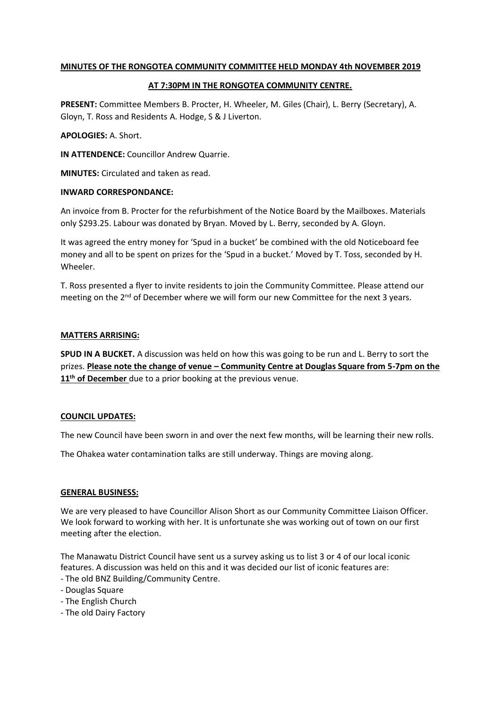# **MINUTES OF THE RONGOTEA COMMUNITY COMMITTEE HELD MONDAY 4th NOVEMBER 2019**

## **AT 7:30PM IN THE RONGOTEA COMMUNITY CENTRE.**

**PRESENT:** Committee Members B. Procter, H. Wheeler, M. Giles (Chair), L. Berry (Secretary), A. Gloyn, T. Ross and Residents A. Hodge, S & J Liverton.

## **APOLOGIES:** A. Short.

**IN ATTENDENCE:** Councillor Andrew Quarrie.

**MINUTES:** Circulated and taken as read.

## **INWARD CORRESPONDANCE:**

An invoice from B. Procter for the refurbishment of the Notice Board by the Mailboxes. Materials only \$293.25. Labour was donated by Bryan. Moved by L. Berry, seconded by A. Gloyn.

It was agreed the entry money for 'Spud in a bucket' be combined with the old Noticeboard fee money and all to be spent on prizes for the 'Spud in a bucket.' Moved by T. Toss, seconded by H. Wheeler.

T. Ross presented a flyer to invite residents to join the Community Committee. Please attend our meeting on the  $2<sup>nd</sup>$  of December where we will form our new Committee for the next 3 years.

## **MATTERS ARRISING:**

**SPUD IN A BUCKET.** A discussion was held on how this was going to be run and L. Berry to sort the prizes. **Please note the change of venue – Community Centre at Douglas Square from 5-7pm on the**  11<sup>th</sup> of December due to a prior booking at the previous venue.

# **COUNCIL UPDATES:**

The new Council have been sworn in and over the next few months, will be learning their new rolls.

The Ohakea water contamination talks are still underway. Things are moving along.

# **GENERAL BUSINESS:**

We are very pleased to have Councillor Alison Short as our Community Committee Liaison Officer. We look forward to working with her. It is unfortunate she was working out of town on our first meeting after the election.

The Manawatu District Council have sent us a survey asking us to list 3 or 4 of our local iconic features. A discussion was held on this and it was decided our list of iconic features are:

- The old BNZ Building/Community Centre.
- Douglas Square
- The English Church
- The old Dairy Factory